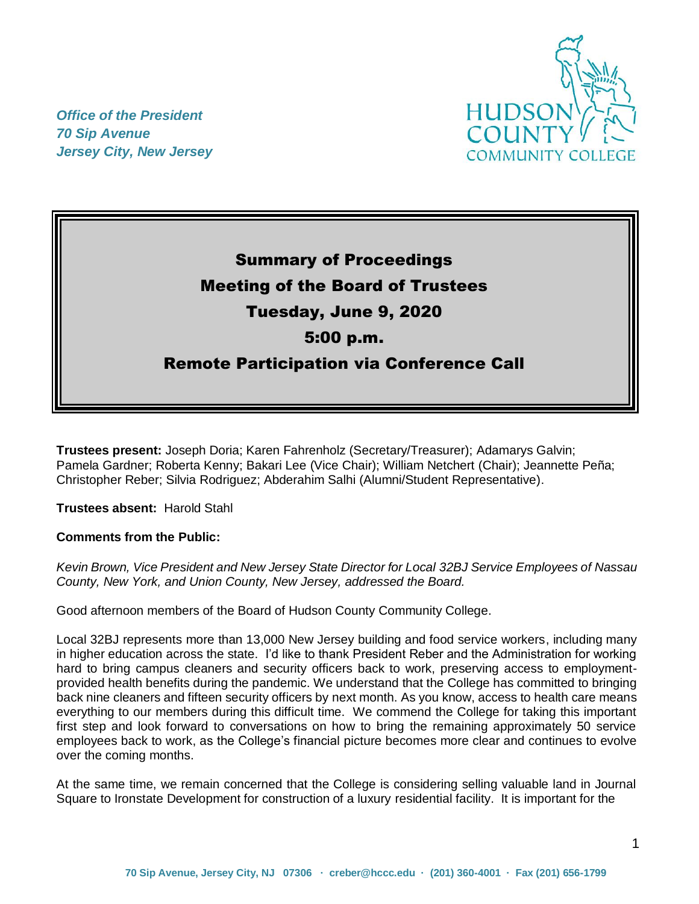

*Office of the President 70 Sip Avenue Jersey City, New Jersey*

# Summary of Proceedings Meeting of the Board of Trustees Tuesday, June 9, 2020 5:00 p.m. Remote Participation via Conference Call

**Trustees present:** Joseph Doria; Karen Fahrenholz (Secretary/Treasurer); Adamarys Galvin; Pamela Gardner; Roberta Kenny; Bakari Lee (Vice Chair); William Netchert (Chair); Jeannette Peña; Christopher Reber; Silvia Rodriguez; Abderahim Salhi (Alumni/Student Representative).

**Trustees absent:** Harold Stahl

**Comments from the Public:** 

*Kevin Brown, Vice President and New Jersey State Director for Local 32BJ Service Employees of Nassau County, New York, and Union County, New Jersey, addressed the Board.*

Good afternoon members of the Board of Hudson County Community College.

Local 32BJ represents more than 13,000 New Jersey building and food service workers, including many in higher education across the state. I'd like to thank President Reber and the Administration for working hard to bring campus cleaners and security officers back to work, preserving access to employmentprovided health benefits during the pandemic. We understand that the College has committed to bringing back nine cleaners and fifteen security officers by next month. As you know, access to health care means everything to our members during this difficult time. We commend the College for taking this important first step and look forward to conversations on how to bring the remaining approximately 50 service employees back to work, as the College's financial picture becomes more clear and continues to evolve over the coming months.

At the same time, we remain concerned that the College is considering selling valuable land in Journal Square to Ironstate Development for construction of a luxury residential facility. It is important for the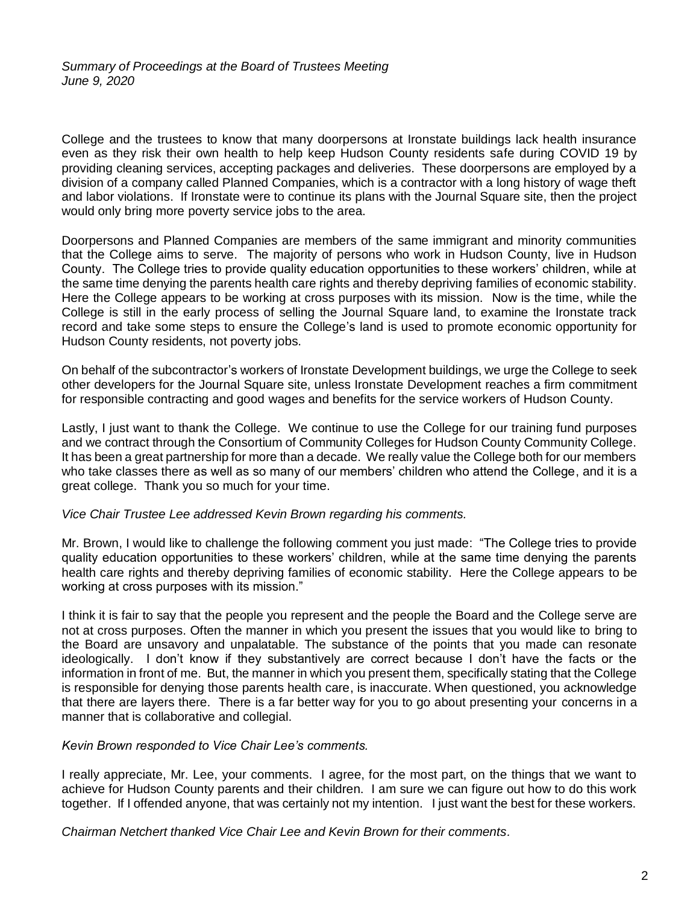College and the trustees to know that many doorpersons at Ironstate buildings lack health insurance even as they risk their own health to help keep Hudson County residents safe during COVID 19 by providing cleaning services, accepting packages and deliveries. These doorpersons are employed by a division of a company called Planned Companies, which is a contractor with a long history of wage theft and labor violations. If Ironstate were to continue its plans with the Journal Square site, then the project would only bring more poverty service jobs to the area.

Doorpersons and Planned Companies are members of the same immigrant and minority communities that the College aims to serve. The majority of persons who work in Hudson County, live in Hudson County. The College tries to provide quality education opportunities to these workers' children, while at the same time denying the parents health care rights and thereby depriving families of economic stability. Here the College appears to be working at cross purposes with its mission. Now is the time, while the College is still in the early process of selling the Journal Square land, to examine the Ironstate track record and take some steps to ensure the College's land is used to promote economic opportunity for Hudson County residents, not poverty jobs.

On behalf of the subcontractor's workers of Ironstate Development buildings, we urge the College to seek other developers for the Journal Square site, unless Ironstate Development reaches a firm commitment for responsible contracting and good wages and benefits for the service workers of Hudson County.

Lastly, I just want to thank the College. We continue to use the College for our training fund purposes and we contract through the Consortium of Community Colleges for Hudson County Community College. It has been a great partnership for more than a decade. We really value the College both for our members who take classes there as well as so many of our members' children who attend the College, and it is a great college. Thank you so much for your time.

#### *Vice Chair Trustee Lee addressed Kevin Brown regarding his comments.*

Mr. Brown, I would like to challenge the following comment you just made: "The College tries to provide quality education opportunities to these workers' children, while at the same time denying the parents health care rights and thereby depriving families of economic stability. Here the College appears to be working at cross purposes with its mission."

I think it is fair to say that the people you represent and the people the Board and the College serve are not at cross purposes. Often the manner in which you present the issues that you would like to bring to the Board are unsavory and unpalatable. The substance of the points that you made can resonate ideologically. I don't know if they substantively are correct because I don't have the facts or the information in front of me. But, the manner in which you present them, specifically stating that the College is responsible for denying those parents health care, is inaccurate. When questioned, you acknowledge that there are layers there. There is a far better way for you to go about presenting your concerns in a manner that is collaborative and collegial.

#### *Kevin Brown responded to Vice Chair Lee's comments.*

I really appreciate, Mr. Lee, your comments. I agree, for the most part, on the things that we want to achieve for Hudson County parents and their children. I am sure we can figure out how to do this work together. If I offended anyone, that was certainly not my intention. I just want the best for these workers.

*Chairman Netchert thanked Vice Chair Lee and Kevin Brown for their comments.*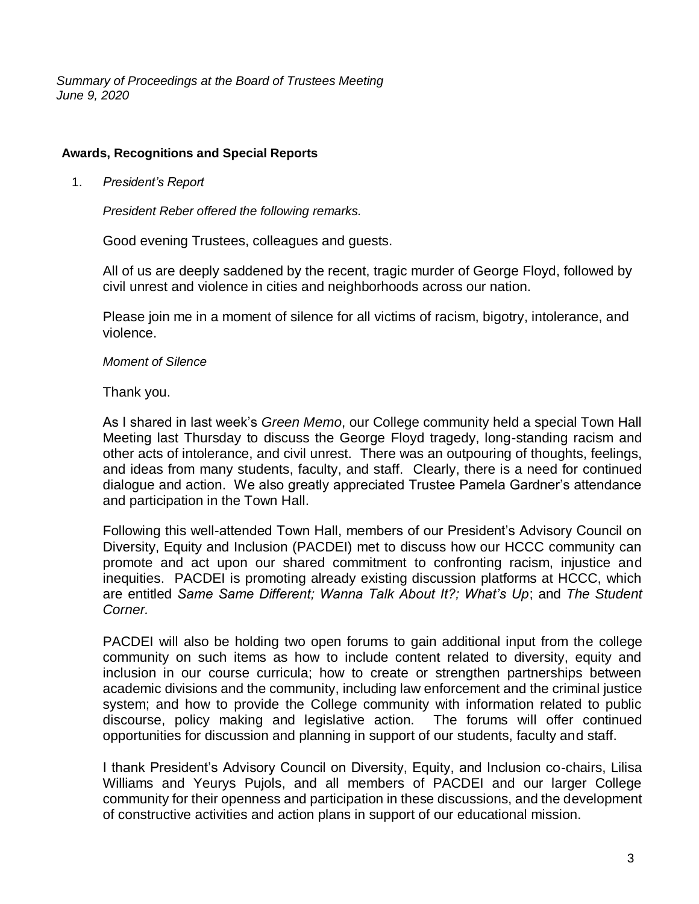*Summary of Proceedings at the Board of Trustees Meeting June 9, 2020*

### **Awards, Recognitions and Special Reports**

1. *President's Report*

*President Reber offered the following remarks.*

Good evening Trustees, colleagues and guests.

All of us are deeply saddened by the recent, tragic murder of George Floyd, followed by civil unrest and violence in cities and neighborhoods across our nation.

Please join me in a moment of silence for all victims of racism, bigotry, intolerance, and violence.

#### *Moment of Silence*

Thank you.

As I shared in last week's *Green Memo*, our College community held a special Town Hall Meeting last Thursday to discuss the George Floyd tragedy, long-standing racism and other acts of intolerance, and civil unrest. There was an outpouring of thoughts, feelings, and ideas from many students, faculty, and staff. Clearly, there is a need for continued dialogue and action. We also greatly appreciated Trustee Pamela Gardner's attendance and participation in the Town Hall.

Following this well-attended Town Hall, members of our President's Advisory Council on Diversity, Equity and Inclusion (PACDEI) met to discuss how our HCCC community can promote and act upon our shared commitment to confronting racism, injustice and inequities. PACDEI is promoting already existing discussion platforms at HCCC, which are entitled *Same Same Different; Wanna Talk About It?; What's Up*; and *The Student Corner.*

PACDEI will also be holding two open forums to gain additional input from the college community on such items as how to include content related to diversity, equity and inclusion in our course curricula; how to create or strengthen partnerships between academic divisions and the community, including law enforcement and the criminal justice system; and how to provide the College community with information related to public discourse, policy making and legislative action. The forums will offer continued opportunities for discussion and planning in support of our students, faculty and staff.

I thank President's Advisory Council on Diversity, Equity, and Inclusion co-chairs, Lilisa Williams and Yeurys Pujols, and all members of PACDEI and our larger College community for their openness and participation in these discussions, and the development of constructive activities and action plans in support of our educational mission.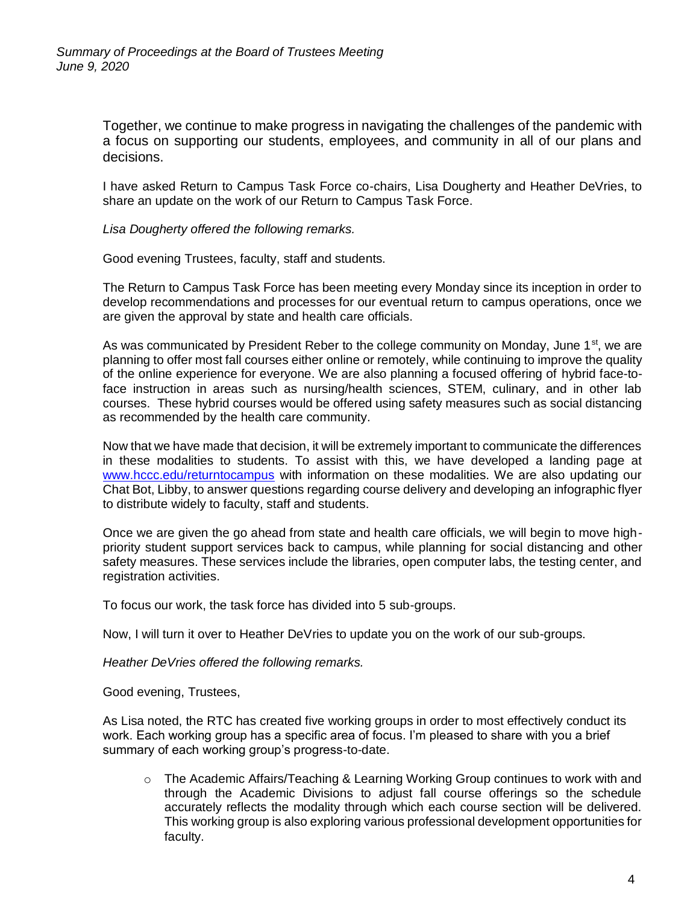Together, we continue to make progress in navigating the challenges of the pandemic with a focus on supporting our students, employees, and community in all of our plans and decisions.

I have asked Return to Campus Task Force co-chairs, Lisa Dougherty and Heather DeVries, to share an update on the work of our Return to Campus Task Force.

*Lisa Dougherty offered the following remarks.*

Good evening Trustees, faculty, staff and students.

The Return to Campus Task Force has been meeting every Monday since its inception in order to develop recommendations and processes for our eventual return to campus operations, once we are given the approval by state and health care officials.

As was communicated by President Reber to the college community on Monday, June  $1<sup>st</sup>$ , we are planning to offer most fall courses either online or remotely, while continuing to improve the quality of the online experience for everyone. We are also planning a focused offering of hybrid face-toface instruction in areas such as nursing/health sciences, STEM, culinary, and in other lab courses. These hybrid courses would be offered using safety measures such as social distancing as recommended by the health care community.

Now that we have made that decision, it will be extremely important to communicate the differences in these modalities to students. To assist with this, we have developed a landing page at [www.hccc.edu/returntocampus](http://www.hccc.edu/returntocampus) with information on these modalities. We are also updating our Chat Bot, Libby, to answer questions regarding course delivery and developing an infographic flyer to distribute widely to faculty, staff and students.

Once we are given the go ahead from state and health care officials, we will begin to move highpriority student support services back to campus, while planning for social distancing and other safety measures. These services include the libraries, open computer labs, the testing center, and registration activities.

To focus our work, the task force has divided into 5 sub-groups.

Now, I will turn it over to Heather DeVries to update you on the work of our sub-groups.

*Heather DeVries offered the following remarks.*

Good evening, Trustees,

As Lisa noted, the RTC has created five working groups in order to most effectively conduct its work. Each working group has a specific area of focus. I'm pleased to share with you a brief summary of each working group's progress-to-date.

o The Academic Affairs/Teaching & Learning Working Group continues to work with and through the Academic Divisions to adjust fall course offerings so the schedule accurately reflects the modality through which each course section will be delivered. This working group is also exploring various professional development opportunities for faculty.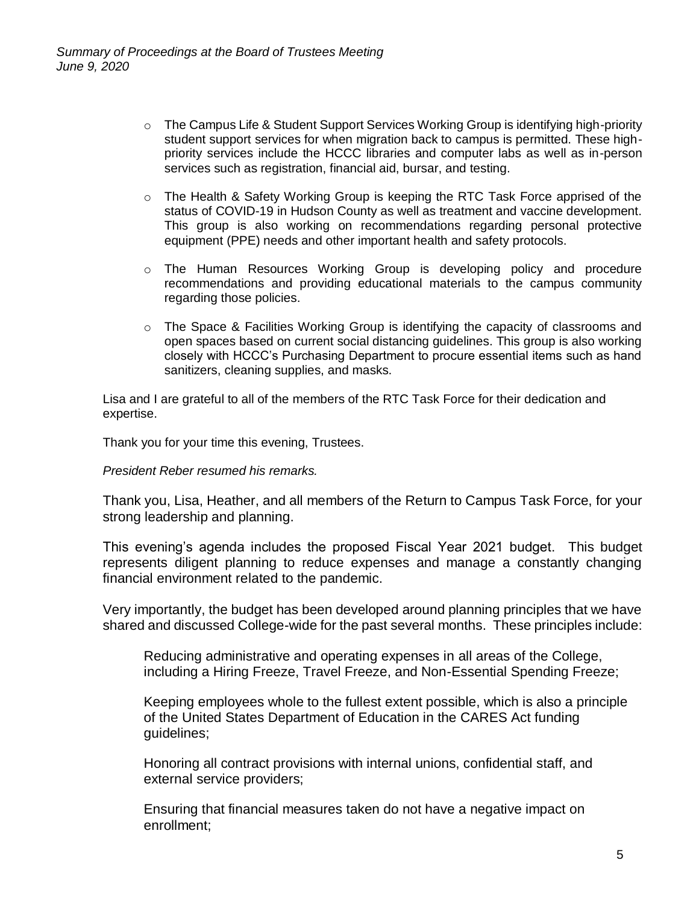- $\circ$  The Campus Life & Student Support Services Working Group is identifying high-priority student support services for when migration back to campus is permitted. These highpriority services include the HCCC libraries and computer labs as well as in-person services such as registration, financial aid, bursar, and testing.
- $\circ$  The Health & Safety Working Group is keeping the RTC Task Force apprised of the status of COVID-19 in Hudson County as well as treatment and vaccine development. This group is also working on recommendations regarding personal protective equipment (PPE) needs and other important health and safety protocols.
- $\circ$  The Human Resources Working Group is developing policy and procedure recommendations and providing educational materials to the campus community regarding those policies.
- $\circ$  The Space & Facilities Working Group is identifying the capacity of classrooms and open spaces based on current social distancing guidelines. This group is also working closely with HCCC's Purchasing Department to procure essential items such as hand sanitizers, cleaning supplies, and masks.

Lisa and I are grateful to all of the members of the RTC Task Force for their dedication and expertise.

Thank you for your time this evening, Trustees.

*President Reber resumed his remarks.*

Thank you, Lisa, Heather, and all members of the Return to Campus Task Force, for your strong leadership and planning.

This evening's agenda includes the proposed Fiscal Year 2021 budget. This budget represents diligent planning to reduce expenses and manage a constantly changing financial environment related to the pandemic.

Very importantly, the budget has been developed around planning principles that we have shared and discussed College-wide for the past several months. These principles include:

Reducing administrative and operating expenses in all areas of the College, including a Hiring Freeze, Travel Freeze, and Non-Essential Spending Freeze;

Keeping employees whole to the fullest extent possible, which is also a principle of the United States Department of Education in the CARES Act funding guidelines;

Honoring all contract provisions with internal unions, confidential staff, and external service providers;

Ensuring that financial measures taken do not have a negative impact on enrollment;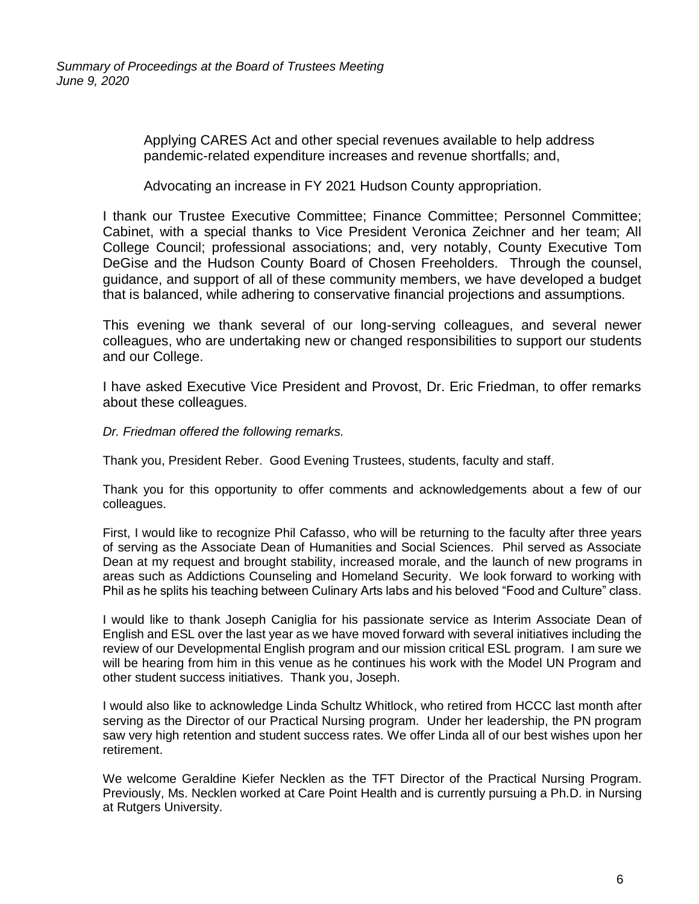Applying CARES Act and other special revenues available to help address pandemic-related expenditure increases and revenue shortfalls; and,

Advocating an increase in FY 2021 Hudson County appropriation.

I thank our Trustee Executive Committee; Finance Committee; Personnel Committee; Cabinet, with a special thanks to Vice President Veronica Zeichner and her team; All College Council; professional associations; and, very notably, County Executive Tom DeGise and the Hudson County Board of Chosen Freeholders. Through the counsel, guidance, and support of all of these community members, we have developed a budget that is balanced, while adhering to conservative financial projections and assumptions.

This evening we thank several of our long-serving colleagues, and several newer colleagues, who are undertaking new or changed responsibilities to support our students and our College.

I have asked Executive Vice President and Provost, Dr. Eric Friedman, to offer remarks about these colleagues.

*Dr. Friedman offered the following remarks.*

Thank you, President Reber. Good Evening Trustees, students, faculty and staff.

Thank you for this opportunity to offer comments and acknowledgements about a few of our colleagues.

First, I would like to recognize Phil Cafasso, who will be returning to the faculty after three years of serving as the Associate Dean of Humanities and Social Sciences. Phil served as Associate Dean at my request and brought stability, increased morale, and the launch of new programs in areas such as Addictions Counseling and Homeland Security. We look forward to working with Phil as he splits his teaching between Culinary Arts labs and his beloved "Food and Culture" class.

I would like to thank Joseph Caniglia for his passionate service as Interim Associate Dean of English and ESL over the last year as we have moved forward with several initiatives including the review of our Developmental English program and our mission critical ESL program. I am sure we will be hearing from him in this venue as he continues his work with the Model UN Program and other student success initiatives. Thank you, Joseph.

I would also like to acknowledge Linda Schultz Whitlock, who retired from HCCC last month after serving as the Director of our Practical Nursing program. Under her leadership, the PN program saw very high retention and student success rates. We offer Linda all of our best wishes upon her retirement.

We welcome Geraldine Kiefer Necklen as the TFT Director of the Practical Nursing Program. Previously, Ms. Necklen worked at Care Point Health and is currently pursuing a Ph.D. in Nursing at Rutgers University.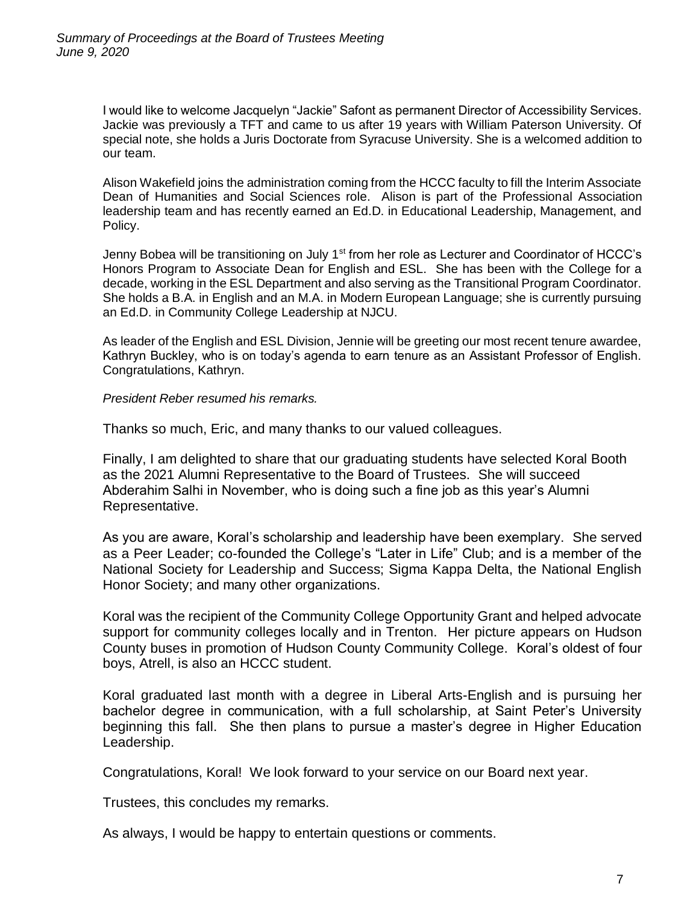I would like to welcome Jacquelyn "Jackie" Safont as permanent Director of Accessibility Services. Jackie was previously a TFT and came to us after 19 years with William Paterson University. Of special note, she holds a Juris Doctorate from Syracuse University. She is a welcomed addition to our team.

Alison Wakefield joins the administration coming from the HCCC faculty to fill the Interim Associate Dean of Humanities and Social Sciences role. Alison is part of the Professional Association leadership team and has recently earned an Ed.D. in Educational Leadership, Management, and Policy.

Jenny Bobea will be transitioning on July 1<sup>st</sup> from her role as Lecturer and Coordinator of HCCC's Honors Program to Associate Dean for English and ESL. She has been with the College for a decade, working in the ESL Department and also serving as the Transitional Program Coordinator. She holds a B.A. in English and an M.A. in Modern European Language; she is currently pursuing an Ed.D. in Community College Leadership at NJCU.

As leader of the English and ESL Division, Jennie will be greeting our most recent tenure awardee, Kathryn Buckley, who is on today's agenda to earn tenure as an Assistant Professor of English. Congratulations, Kathryn.

#### *President Reber resumed his remarks.*

Thanks so much, Eric, and many thanks to our valued colleagues.

Finally, I am delighted to share that our graduating students have selected Koral Booth as the 2021 Alumni Representative to the Board of Trustees. She will succeed Abderahim Salhi in November, who is doing such a fine job as this year's Alumni Representative.

As you are aware, Koral's scholarship and leadership have been exemplary. She served as a Peer Leader; co-founded the College's "Later in Life" Club; and is a member of the National Society for Leadership and Success; Sigma Kappa Delta, the National English Honor Society; and many other organizations.

Koral was the recipient of the Community College Opportunity Grant and helped advocate support for community colleges locally and in Trenton. Her picture appears on Hudson County buses in promotion of Hudson County Community College. Koral's oldest of four boys, Atrell, is also an HCCC student.

Koral graduated last month with a degree in Liberal Arts-English and is pursuing her bachelor degree in communication, with a full scholarship, at Saint Peter's University beginning this fall. She then plans to pursue a master's degree in Higher Education Leadership.

Congratulations, Koral! We look forward to your service on our Board next year.

Trustees, this concludes my remarks.

As always, I would be happy to entertain questions or comments.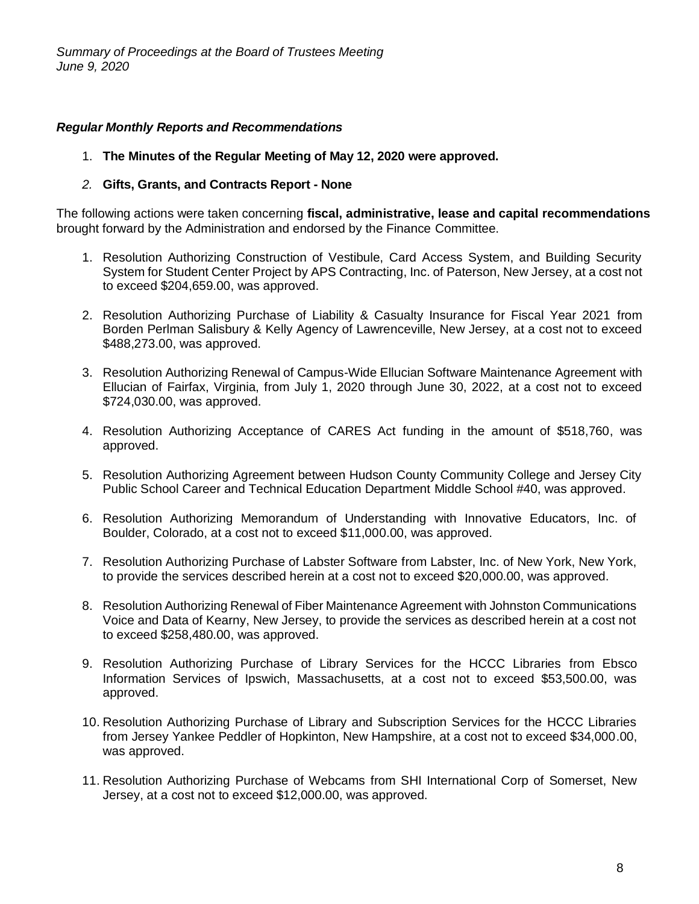# *Regular Monthly Reports and Recommendations*

1. **The Minutes of the Regular Meeting of May 12, 2020 were approved.**

# *2.* **Gifts, Grants, and Contracts Report - None**

The following actions were taken concerning **fiscal, administrative, lease and capital recommendations** brought forward by the Administration and endorsed by the Finance Committee.

- 1. Resolution Authorizing Construction of Vestibule, Card Access System, and Building Security System for Student Center Project by APS Contracting, Inc. of Paterson, New Jersey, at a cost not to exceed \$204,659.00, was approved.
- 2. Resolution Authorizing Purchase of Liability & Casualty Insurance for Fiscal Year 2021 from Borden Perlman Salisbury & Kelly Agency of Lawrenceville, New Jersey, at a cost not to exceed \$488,273.00, was approved.
- 3. Resolution Authorizing Renewal of Campus-Wide Ellucian Software Maintenance Agreement with Ellucian of Fairfax, Virginia, from July 1, 2020 through June 30, 2022, at a cost not to exceed \$724,030.00, was approved.
- 4. Resolution Authorizing Acceptance of CARES Act funding in the amount of \$518,760, was approved.
- 5. Resolution Authorizing Agreement between Hudson County Community College and Jersey City Public School Career and Technical Education Department Middle School #40, was approved.
- 6. Resolution Authorizing Memorandum of Understanding with Innovative Educators, Inc. of Boulder, Colorado, at a cost not to exceed \$11,000.00, was approved.
- 7. Resolution Authorizing Purchase of Labster Software from Labster, Inc. of New York, New York, to provide the services described herein at a cost not to exceed \$20,000.00, was approved.
- 8. Resolution Authorizing Renewal of Fiber Maintenance Agreement with Johnston Communications Voice and Data of Kearny, New Jersey, to provide the services as described herein at a cost not to exceed \$258,480.00, was approved.
- 9. Resolution Authorizing Purchase of Library Services for the HCCC Libraries from Ebsco Information Services of Ipswich, Massachusetts, at a cost not to exceed \$53,500.00, was approved.
- 10. Resolution Authorizing Purchase of Library and Subscription Services for the HCCC Libraries from Jersey Yankee Peddler of Hopkinton, New Hampshire, at a cost not to exceed \$34,000.00, was approved.
- 11. Resolution Authorizing Purchase of Webcams from SHI International Corp of Somerset, New Jersey, at a cost not to exceed \$12,000.00, was approved.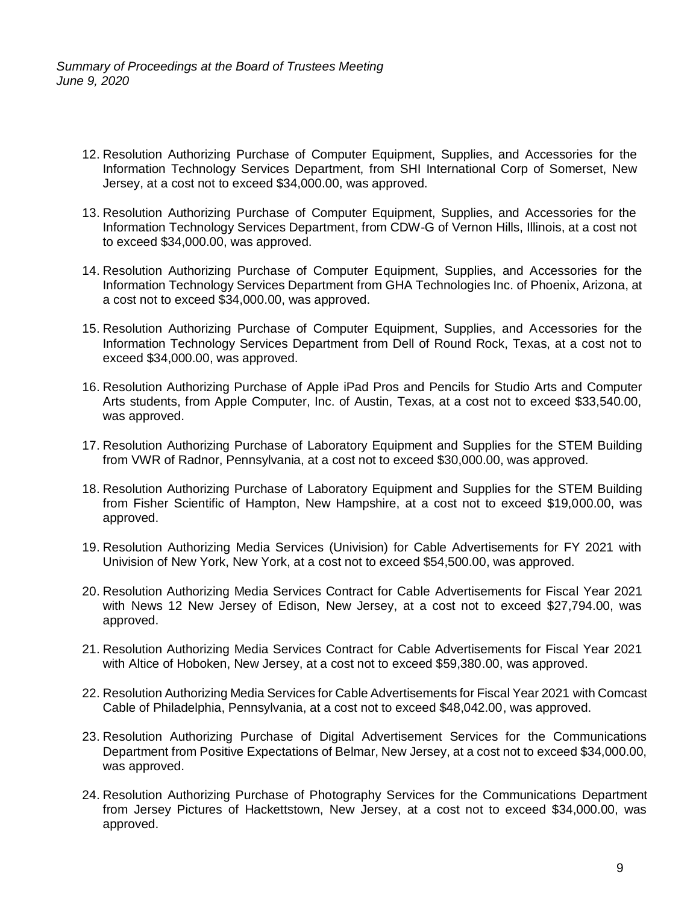*Summary of Proceedings at the Board of Trustees Meeting June 9, 2020*

- 12. Resolution Authorizing Purchase of Computer Equipment, Supplies, and Accessories for the Information Technology Services Department, from SHI International Corp of Somerset, New Jersey, at a cost not to exceed \$34,000.00, was approved.
- 13. Resolution Authorizing Purchase of Computer Equipment, Supplies, and Accessories for the Information Technology Services Department, from CDW-G of Vernon Hills, Illinois, at a cost not to exceed \$34,000.00, was approved.
- 14. Resolution Authorizing Purchase of Computer Equipment, Supplies, and Accessories for the Information Technology Services Department from GHA Technologies Inc. of Phoenix, Arizona, at a cost not to exceed \$34,000.00, was approved.
- 15. Resolution Authorizing Purchase of Computer Equipment, Supplies, and Accessories for the Information Technology Services Department from Dell of Round Rock, Texas, at a cost not to exceed \$34,000.00, was approved.
- 16. Resolution Authorizing Purchase of Apple iPad Pros and Pencils for Studio Arts and Computer Arts students, from Apple Computer, Inc. of Austin, Texas, at a cost not to exceed \$33,540.00, was approved.
- 17. Resolution Authorizing Purchase of Laboratory Equipment and Supplies for the STEM Building from VWR of Radnor, Pennsylvania, at a cost not to exceed \$30,000.00, was approved.
- 18. Resolution Authorizing Purchase of Laboratory Equipment and Supplies for the STEM Building from Fisher Scientific of Hampton, New Hampshire, at a cost not to exceed \$19,000.00, was approved.
- 19. Resolution Authorizing Media Services (Univision) for Cable Advertisements for FY 2021 with Univision of New York, New York, at a cost not to exceed \$54,500.00, was approved.
- 20. Resolution Authorizing Media Services Contract for Cable Advertisements for Fiscal Year 2021 with News 12 New Jersey of Edison, New Jersey, at a cost not to exceed \$27,794.00, was approved.
- 21. Resolution Authorizing Media Services Contract for Cable Advertisements for Fiscal Year 2021 with Altice of Hoboken, New Jersey, at a cost not to exceed \$59,380.00, was approved.
- 22. Resolution Authorizing Media Services for Cable Advertisements for Fiscal Year 2021 with Comcast Cable of Philadelphia, Pennsylvania, at a cost not to exceed \$48,042.00, was approved.
- 23. Resolution Authorizing Purchase of Digital Advertisement Services for the Communications Department from Positive Expectations of Belmar, New Jersey, at a cost not to exceed \$34,000.00, was approved.
- 24. Resolution Authorizing Purchase of Photography Services for the Communications Department from Jersey Pictures of Hackettstown, New Jersey, at a cost not to exceed \$34,000.00, was approved.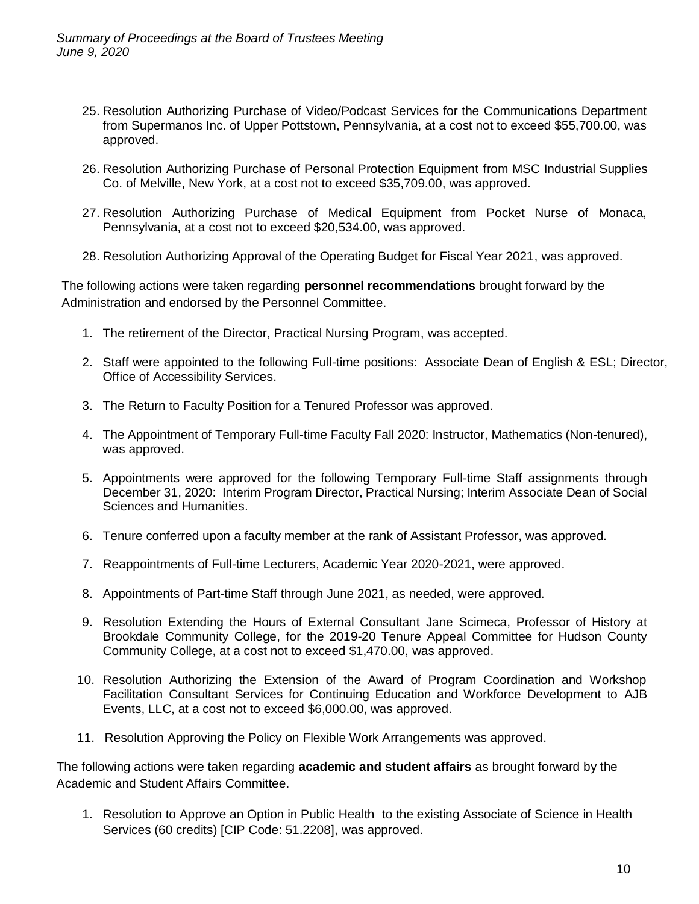- 25. Resolution Authorizing Purchase of Video/Podcast Services for the Communications Department from Supermanos Inc. of Upper Pottstown, Pennsylvania, at a cost not to exceed \$55,700.00, was approved.
- 26. Resolution Authorizing Purchase of Personal Protection Equipment from MSC Industrial Supplies Co. of Melville, New York, at a cost not to exceed \$35,709.00, was approved.
- 27. Resolution Authorizing Purchase of Medical Equipment from Pocket Nurse of Monaca, Pennsylvania, at a cost not to exceed \$20,534.00, was approved.
- 28. Resolution Authorizing Approval of the Operating Budget for Fiscal Year 2021, was approved.

The following actions were taken regarding **personnel recommendations** brought forward by the Administration and endorsed by the Personnel Committee.

- 1. The retirement of the Director, Practical Nursing Program, was accepted.
- 2. Staff were appointed to the following Full-time positions: Associate Dean of English & ESL; Director, Office of Accessibility Services.
- 3. The Return to Faculty Position for a Tenured Professor was approved.
- 4. The Appointment of Temporary Full-time Faculty Fall 2020: Instructor, Mathematics (Non-tenured), was approved.
- 5. Appointments were approved for the following Temporary Full-time Staff assignments through December 31, 2020: Interim Program Director, Practical Nursing; Interim Associate Dean of Social Sciences and Humanities.
- 6. Tenure conferred upon a faculty member at the rank of Assistant Professor, was approved.
- 7. Reappointments of Full-time Lecturers, Academic Year 2020-2021, were approved.
- 8. Appointments of Part-time Staff through June 2021, as needed, were approved.
- 9. Resolution Extending the Hours of External Consultant Jane Scimeca, Professor of History at Brookdale Community College, for the 2019-20 Tenure Appeal Committee for Hudson County Community College, at a cost not to exceed \$1,470.00, was approved.
- 10. Resolution Authorizing the Extension of the Award of Program Coordination and Workshop Facilitation Consultant Services for Continuing Education and Workforce Development to AJB Events, LLC, at a cost not to exceed \$6,000.00, was approved.
- 11. Resolution Approving the Policy on Flexible Work Arrangements was approved.

The following actions were taken regarding **academic and student affairs** as brought forward by the Academic and Student Affairs Committee.

1. Resolution to Approve an Option in Public Health to the existing Associate of Science in Health Services (60 credits) [CIP Code: 51.2208], was approved.